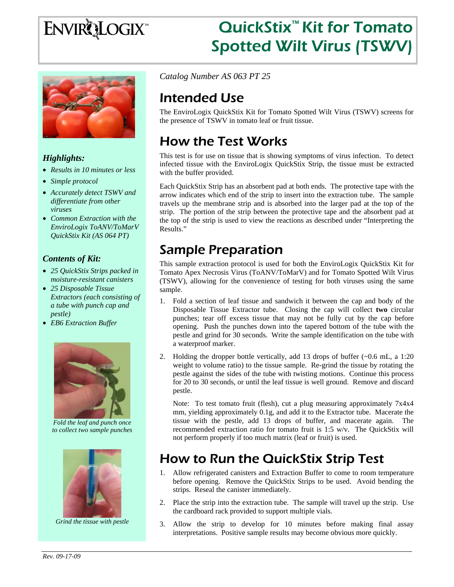# **ENVIRQLOGIX**

# QuickStix™ Kit for Tomato Spotted Wilt Virus (TSWV)



### *Highlights:*

- *Results in 10 minutes or less*
- *Simple protocol*
- *Accurately detect TSWV and differentiate from other viruses*
- *Common Extraction with the EnviroLogix ToANV/ToMarV QuickStix Kit (AS 064 PT)*

### *Contents of Kit:*

- *25 QuickStix Strips packed in moisture-resistant canisters*
- *25 Disposable Tissue Extractors (each consisting of a tube with punch cap and pestle)*
- *EB6 Extraction Buffer*



*Fold the leaf and punch once to collect two sample punches* 



*Grind the tissue with pestle* 

*Catalog Number AS 063 PT 25*

# Intended Use

The EnviroLogix QuickStix Kit for Tomato Spotted Wilt Virus (TSWV) screens for the presence of TSWV in tomato leaf or fruit tissue.

# How the Test Works

This test is for use on tissue that is showing symptoms of virus infection. To detect infected tissue with the EnviroLogix QuickStix Strip, the tissue must be extracted with the buffer provided.

Each QuickStix Strip has an absorbent pad at both ends. The protective tape with the arrow indicates which end of the strip to insert into the extraction tube. The sample travels up the membrane strip and is absorbed into the larger pad at the top of the strip. The portion of the strip between the protective tape and the absorbent pad at the top of the strip is used to view the reactions as described under "Interpreting the Results."

# Sample Preparation

This sample extraction protocol is used for both the EnviroLogix QuickStix Kit for Tomato Apex Necrosis Virus (ToANV/ToMarV) and for Tomato Spotted Wilt Virus (TSWV), allowing for the convenience of testing for both viruses using the same sample.

- 1. Fold a section of leaf tissue and sandwich it between the cap and body of the Disposable Tissue Extractor tube. Closing the cap will collect **two** circular punches; tear off excess tissue that may not be fully cut by the cap before opening. Push the punches down into the tapered bottom of the tube with the pestle and grind for 30 seconds. Write the sample identification on the tube with a waterproof marker.
- 2. Holding the dropper bottle vertically, add 13 drops of buffer (~0.6 mL, a 1:20 weight to volume ratio) to the tissue sample. Re-grind the tissue by rotating the pestle against the sides of the tube with twisting motions. Continue this process for 20 to 30 seconds, or until the leaf tissue is well ground. Remove and discard pestle.

Note: To test tomato fruit (flesh), cut a plug measuring approximately 7x4x4 mm, yielding approximately 0.1g, and add it to the Extractor tube. Macerate the tissue with the pestle, add 13 drops of buffer, and macerate again. The recommended extraction ratio for tomato fruit is 1:5 w/v. The QuickStix will not perform properly if too much matrix (leaf or fruit) is used.

# How to Run the QuickStix Strip Test

- 1. Allow refrigerated canisters and Extraction Buffer to come to room temperature before opening. Remove the QuickStix Strips to be used. Avoid bending the strips. Reseal the canister immediately.
- 2. Place the strip into the extraction tube. The sample will travel up the strip. Use the cardboard rack provided to support multiple vials.
- 3. Allow the strip to develop for 10 minutes before making final assay interpretations. Positive sample results may become obvious more quickly.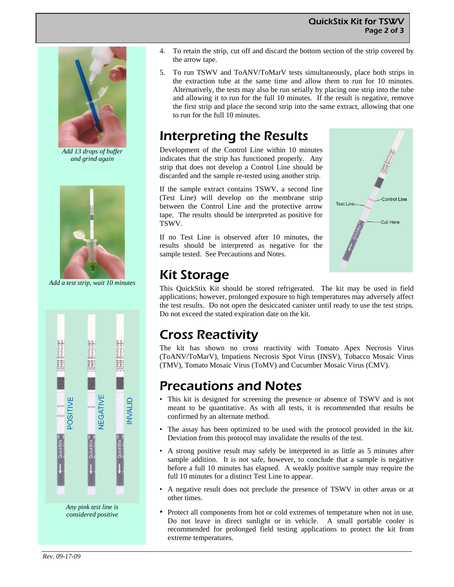#### QuickStix Kit for TSWV Page 2 of 3



*Add 13 drops of buffer and grind again* 



*Add a test strip, wait 10 minutes* 



- 4. To retain the strip, cut off and discard the bottom section of the strip covered by the arrow tape.
- 5. To run TSWV and ToANV/ToMarV tests simultaneously, place both strips in the extraction tube at the same time and allow them to run for 10 minutes. Alternatively, the tests may also be run serially by placing one strip into the tube and allowing it to run for the full 10 minutes. If the result is negative, remove the first strip and place the second strip into the same extract, allowing that one to run for the full 10 minutes.

### Interpreting the Results

Development of the Control Line within 10 minutes indicates that the strip has functioned properly. Any strip that does not develop a Control Line should be discarded and the sample re-tested using another strip.

If the sample extract contains TSWV, a second line (Test Line) will develop on the membrane strip between the Control Line and the protective arrow tape. The results should be interpreted as positive for TSWV.

If no Test Line is observed after 10 minutes, the results should be interpreted as negative for the sample tested. See Precautions and Notes.



### Kit Storage

This QuickStix Kit should be stored refrigerated. The kit may be used in field applications; however, prolonged exposure to high temperatures may adversely affect the test results. Do not open the desiccated canister until ready to use the test strips. Do not exceed the stated expiration date on the kit.

### Cross Reactivity

The kit has shown no cross reactivity with Tomato Apex Necrosis Virus (ToANV/ToMarV), Impatiens Necrosis Spot Virus (INSV), Tobacco Mosaic Virus (TMV), Tomato Mosaic Virus (ToMV) and Cucumber Mosaic Virus (CMV).

### Precautions and Notes

- This kit is designed for screening the presence or absence of TSWV and is not meant to be quantitative. As with all tests, it is recommended that results be confirmed by an alternate method.
- The assay has been optimized to be used with the protocol provided in the kit. Deviation from this protocol may invalidate the results of the test.
- A strong positive result may safely be interpreted in as little as 5 minutes after sample addition. It is not safe, however, to conclude that a sample is negative before a full 10 minutes has elapsed. A weakly positive sample may require the full 10 minutes for a distinct Test Line to appear.
- A negative result does not preclude the presence of TSWV in other areas or at other times.
- Protect all components from hot or cold extremes of temperature when not in use. Do not leave in direct sunlight or in vehicle. A small portable cooler is recommended for prolonged field testing applications to protect the kit from extreme temperatures.